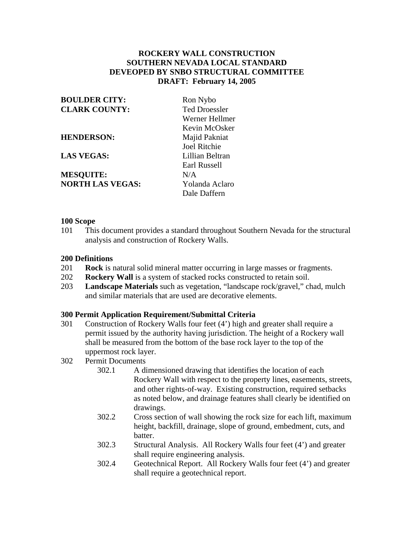# **ROCKERY WALL CONSTRUCTION SOUTHERN NEVADA LOCAL STANDARD DEVEOPED BY SNBO STRUCTURAL COMMITTEE DRAFT: February 14, 2005**

| <b>BOULDER CITY:</b>    | Ron Nybo             |
|-------------------------|----------------------|
| <b>CLARK COUNTY:</b>    | <b>Ted Droessler</b> |
|                         | Werner Hellmer       |
|                         | Kevin McOsker        |
| <b>HENDERSON:</b>       | Majid Pakniat        |
|                         | Joel Ritchie         |
| <b>LAS VEGAS:</b>       | Lillian Beltran      |
|                         | Earl Russell         |
| <b>MESQUITE:</b>        | N/A                  |
| <b>NORTH LAS VEGAS:</b> | Yolanda Aclaro       |
|                         | Dale Daffern         |

### **100 Scope**

101 This document provides a standard throughout Southern Nevada for the structural analysis and construction of Rockery Walls.

### **200 Definitions**

- 201 **Rock** is natural solid mineral matter occurring in large masses or fragments.
- 202 **Rockery Wall** is a system of stacked rocks constructed to retain soil.
- 203 **Landscape Materials** such as vegetation, "landscape rock/gravel," chad, mulch and similar materials that are used are decorative elements.

#### **300 Permit Application Requirement/Submittal Criteria**

301 Construction of Rockery Walls four feet (4') high and greater shall require a permit issued by the authority having jurisdiction. The height of a Rockery wall shall be measured from the bottom of the base rock layer to the top of the uppermost rock layer.

# 302 Permit Documents

- 302.1 A dimensioned drawing that identifies the location of each Rockery Wall with respect to the property lines, easements, streets, and other rights-of-way. Existing construction, required setbacks as noted below, and drainage features shall clearly be identified on drawings.
- 302.2 Cross section of wall showing the rock size for each lift, maximum height, backfill, drainage, slope of ground, embedment, cuts, and batter.
- 302.3 Structural Analysis. All Rockery Walls four feet (4') and greater shall require engineering analysis.
- 302.4 Geotechnical Report. All Rockery Walls four feet (4') and greater shall require a geotechnical report.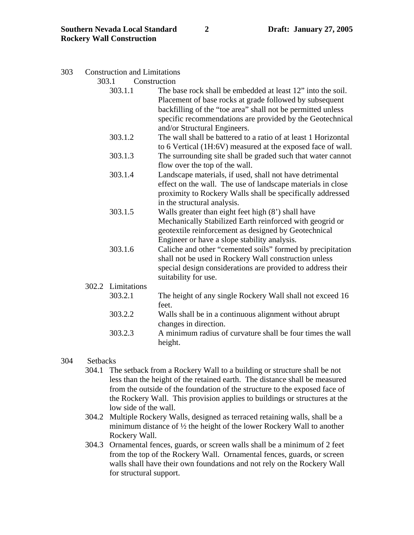### 303 Construction and Limitations

303.1 Construction

- 303.1.1 The base rock shall be embedded at least 12" into the soil. Placement of base rocks at grade followed by subsequent backfilling of the "toe area" shall not be permitted unless specific recommendations are provided by the Geotechnical and/or Structural Engineers.
- 303.1.2 The wall shall be battered to a ratio of at least 1 Horizontal to 6 Vertical (1H:6V) measured at the exposed face of wall.
- 303.1.3 The surrounding site shall be graded such that water cannot flow over the top of the wall.
- 303.1.4 Landscape materials, if used, shall not have detrimental effect on the wall. The use of landscape materials in close proximity to Rockery Walls shall be specifically addressed in the structural analysis.
- 303.1.5 Walls greater than eight feet high (8') shall have Mechanically Stabilized Earth reinforced with geogrid or geotextile reinforcement as designed by Geotechnical Engineer or have a slope stability analysis.
- 303.1.6 Caliche and other "cemented soils" formed by precipitation shall not be used in Rockery Wall construction unless special design considerations are provided to address their suitability for use.

# 302.2 Limitations 303.2.1 The height of any single Rockery Wall shall not exceed 16 feet. 303.2.2 Walls shall be in a continuous alignment without abrupt changes in direction.

303.2.3 A minimum radius of curvature shall be four times the wall height.

## 304 Setbacks

- 304.1 The setback from a Rockery Wall to a building or structure shall be not less than the height of the retained earth. The distance shall be measured from the outside of the foundation of the structure to the exposed face of the Rockery Wall. This provision applies to buildings or structures at the low side of the wall.
- 304.2 Multiple Rockery Walls, designed as terraced retaining walls, shall be a minimum distance of ½ the height of the lower Rockery Wall to another Rockery Wall.
- 304.3 Ornamental fences, guards, or screen walls shall be a minimum of 2 feet from the top of the Rockery Wall. Ornamental fences, guards, or screen walls shall have their own foundations and not rely on the Rockery Wall for structural support.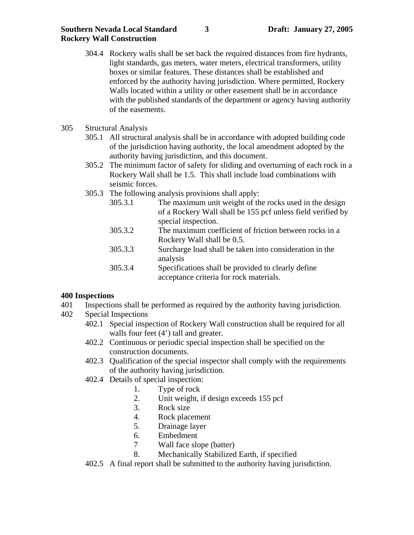- 304.4 Rockery walls shall be set back the required distances from fire hydrants, light standards, gas meters, water meters, electrical transformers, utility boxes or similar features. These distances shall be established and enforced by the authority having jurisdiction. Where permitted, Rockery Walls located within a utility or other easement shall be in accordance with the published standards of the department or agency having authority of the easements.
- 305 Structural Analysis
	- 305.1 All structural analysis shall be in accordance with adopted building code of the jurisdiction having authority, the local amendment adopted by the authority having jurisdiction, and this document.
	- 305.2 The minimum factor of safety for sliding and overturning of each rock in a Rockery Wall shall be 1.5. This shall include load combinations with seismic forces.
	- 305.3 The following analysis provisions shall apply:
		- 305.3.1 The maximum unit weight of the rocks used in the design of a Rockery Wall shall be 155 pcf unless field verified by special inspection.
		- 305.3.2 The maximum coefficient of friction between rocks in a Rockery Wall shall be 0.5.
		- 305.3.3 Surcharge load shall be taken into consideration in the analysis
		- 305.3.4 Specifications shall be provided to clearly define acceptance criteria for rock materials.

# **400 Inspections**

- 401 Inspections shall be performed as required by the authority having jurisdiction.
- 402 Special Inspections
	- 402.1 Special inspection of Rockery Wall construction shall be required for all walls four feet  $(4')$  tall and greater.
	- 402.2 Continuous or periodic special inspection shall be specified on the construction documents.
	- 402.3 Qualification of the special inspector shall comply with the requirements of the authority having jurisdiction.
	- 402.4 Details of special inspection:
		- 1. Type of rock
		- 2. Unit weight, if design exceeds 155 pcf
		- 3. Rock size
		- 4. Rock placement
		- 5. Drainage layer
		- 6. Embedment
		- 7 Wall face slope (batter)
		- 8. Mechanically Stabilized Earth, if specified
	- 402.5 A final report shall be submitted to the authority having jurisdiction.